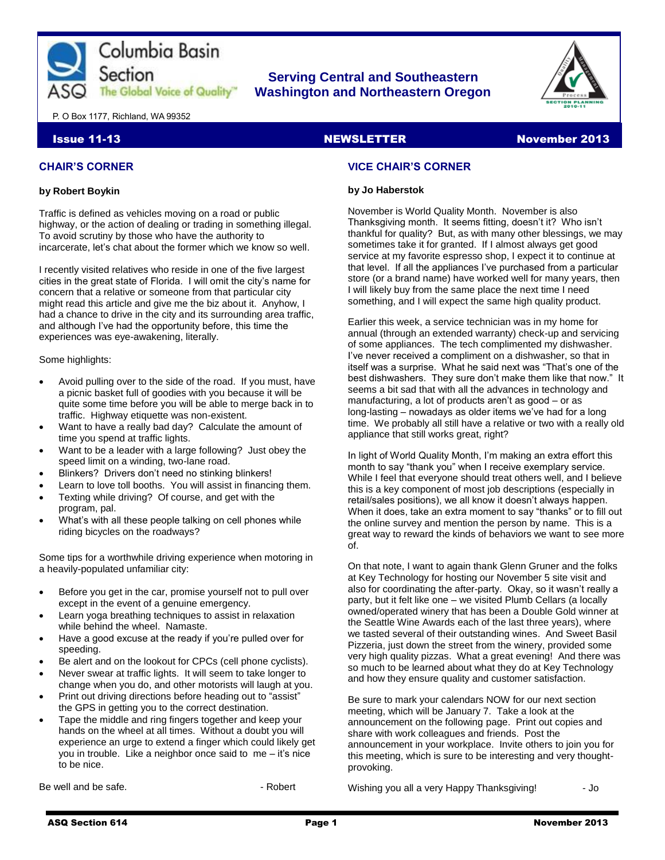

### **Serving Central and Southeastern The Global Voice of Quality Washington and Northeastern Oregon**



P. O Box 1177, Richland, WA 99352

#### **CHAIR'S CORNER**

#### **by Robert Boykin**

Traffic is defined as vehicles moving on a road or public highway, or the action of dealing or trading in something illegal. To avoid scrutiny by those who have the authority to incarcerate, let's chat about the former which we know so well.

I recently visited relatives who reside in one of the five largest cities in the great state of Florida. I will omit the city's name for concern that a relative or someone from that particular city might read this article and give me the biz about it. Anyhow, I had a chance to drive in the city and its surrounding area traffic, and although I've had the opportunity before, this time the experiences was eye-awakening, literally.

#### Some highlights:

- Avoid pulling over to the side of the road. If you must, have a picnic basket full of goodies with you because it will be quite some time before you will be able to merge back in to traffic. Highway etiquette was non-existent.
- Want to have a really bad day? Calculate the amount of time you spend at traffic lights.
- Want to be a leader with a large following? Just obey the speed limit on a winding, two-lane road.
- Blinkers? Drivers don't need no stinking blinkers!
- Learn to love toll booths. You will assist in financing them.
- Texting while driving? Of course, and get with the program, pal.
- What's with all these people talking on cell phones while riding bicycles on the roadways?

Some tips for a worthwhile driving experience when motoring in a heavily-populated unfamiliar city:

- Before you get in the car, promise yourself not to pull over except in the event of a genuine emergency.
- Learn yoga breathing techniques to assist in relaxation while behind the wheel. Namaste.
- Have a good excuse at the ready if you're pulled over for speeding.
- Be alert and on the lookout for CPCs (cell phone cyclists).
- Never swear at traffic lights. It will seem to take longer to change when you do, and other motorists will laugh at you.
- Print out driving directions before heading out to "assist" the GPS in getting you to the correct destination.
- Tape the middle and ring fingers together and keep your hands on the wheel at all times. Without a doubt you will experience an urge to extend a finger which could likely get you in trouble. Like a neighbor once said to me – it's nice to be nice.

Be well and be safe. **But an** a Robert **But and Series**  $\sim$  Robert

#### **Issue 11-13** November 2013 NEWSLETTER November 2013

#### **VICE CHAIR'S CORNER**

#### **by Jo Haberstok**

November is World Quality Month. November is also Thanksgiving month. It seems fitting, doesn't it? Who isn't thankful for quality? But, as with many other blessings, we may sometimes take it for granted. If I almost always get good service at my favorite espresso shop, I expect it to continue at that level. If all the appliances I've purchased from a particular store (or a brand name) have worked well for many years, then I will likely buy from the same place the next time I need something, and I will expect the same high quality product.

Earlier this week, a service technician was in my home for annual (through an extended warranty) check-up and servicing of some appliances. The tech complimented my dishwasher. I've never received a compliment on a dishwasher, so that in itself was a surprise. What he said next was "That's one of the best dishwashers. They sure don't make them like that now." It seems a bit sad that with all the advances in technology and manufacturing, a lot of products aren't as good – or as long-lasting – nowadays as older items we've had for a long time. We probably all still have a relative or two with a really old appliance that still works great, right?

In light of World Quality Month, I'm making an extra effort this month to say "thank you" when I receive exemplary service. While I feel that everyone should treat others well, and I believe this is a key component of most job descriptions (especially in retail/sales positions), we all know it doesn't always happen. When it does, take an extra moment to say "thanks" or to fill out the online survey and mention the person by name. This is a great way to reward the kinds of behaviors we want to see more of.

On that note, I want to again thank Glenn Gruner and the folks at Key Technology for hosting our November 5 site visit and also for coordinating the after-party. Okay, so it wasn't really a party, but it felt like one – we visited Plumb Cellars (a locally owned/operated winery that has been a Double Gold winner at the Seattle Wine Awards each of the last three years), where we tasted several of their outstanding wines. And Sweet Basil Pizzeria, just down the street from the winery, provided some very high quality pizzas. What a great evening! And there was so much to be learned about what they do at Key Technology and how they ensure quality and customer satisfaction.

Be sure to mark your calendars NOW for our next section meeting, which will be January 7. Take a look at the announcement on the following page. Print out copies and share with work colleagues and friends. Post the announcement in your workplace. Invite others to join you for this meeting, which is sure to be interesting and very thoughtprovoking.

Wishing you all a very Happy Thanksgiving! - Jo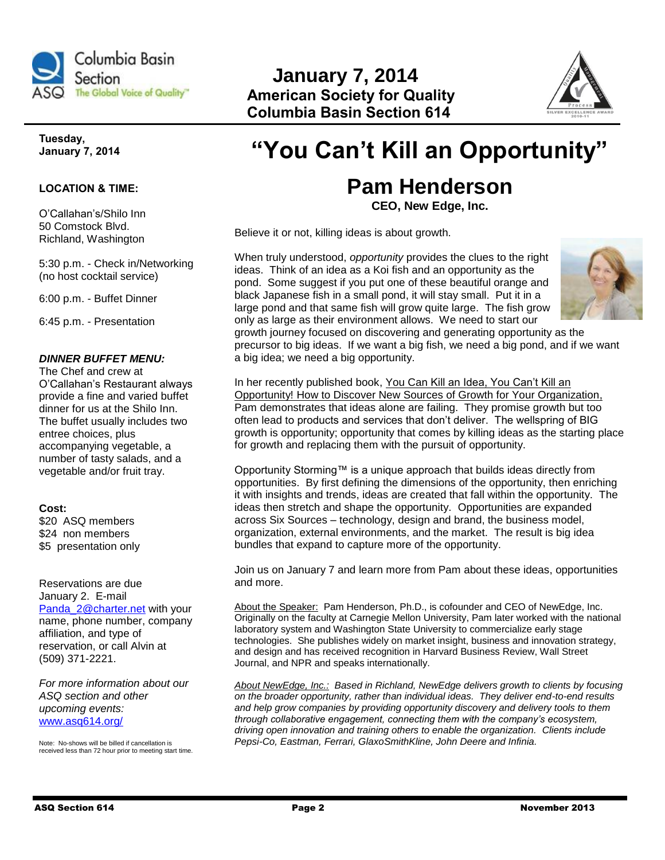

# **January 7, 2014 The Global Voice of Quality" American Society for Quality Columbia Basin Section 614**



#### **Tuesday, January 7, 2014**

#### **LOCATION & TIME:**

O'Callahan's/Shilo Inn 50 Comstock Blvd. Richland, Washington

5:30 p.m. - Check in/Networking (no host cocktail service)

6:00 p.m. - Buffet Dinner

6:45 p.m. - Presentation

#### *DINNER BUFFET MENU:*

The Chef and crew at O'Callahan's Restaurant always provide a fine and varied buffet dinner for us at the Shilo Inn. The buffet usually includes two entree choices, plus accompanying vegetable, a number of tasty salads, and a vegetable and/or fruit tray.

#### **Cost:**

\$20 ASQ members \$24 non members \$5 presentation only

Reservations are due January 2. E-mail [Panda\\_2@charter.net](mailto:Panda_2@charter.net) with your name, phone number, company affiliation, and type of reservation, or call Alvin at (509) 371-2221.

*For more information about our ASQ section and other upcoming events:*  [www.asq614.org/](http://www.asq614.org/)

Note: No-shows will be billed if cancellation is received less than 72 hour prior to meeting start time.

# **"You Can't Kill an Opportunity"**

# **Pam Henderson**

**CEO, New Edge, Inc.**

Believe it or not, killing ideas is about growth.

When truly understood, *opportunity* provides the clues to the right ideas. Think of an idea as a Koi fish and an opportunity as the pond. Some suggest if you put one of these beautiful orange and black Japanese fish in a small pond, it will stay small. Put it in a large pond and that same fish will grow quite large. The fish grow only as large as their environment allows. We need to start our



growth journey focused on discovering and generating opportunity as the precursor to big ideas. If we want a big fish, we need a big pond, and if we want a big idea; we need a big opportunity.

In her recently published book, You Can Kill an Idea, You Can't Kill an Opportunity! How to Discover New Sources of Growth for Your Organization, Pam demonstrates that ideas alone are failing. They promise growth but too often lead to products and services that don't deliver. The wellspring of BIG growth is opportunity; opportunity that comes by killing ideas as the starting place for growth and replacing them with the pursuit of opportunity.

Opportunity Storming™ is a unique approach that builds ideas directly from opportunities. By first defining the dimensions of the opportunity, then enriching it with insights and trends, ideas are created that fall within the opportunity. The ideas then stretch and shape the opportunity. Opportunities are expanded across Six Sources – technology, design and brand, the business model, organization, external environments, and the market. The result is big idea bundles that expand to capture more of the opportunity.

Join us on January 7 and learn more from Pam about these ideas, opportunities and more.

About the Speaker: Pam Henderson, Ph.D., is cofounder and CEO of NewEdge, Inc. Originally on the faculty at Carnegie Mellon University, Pam later worked with the national laboratory system and Washington State University to commercialize early stage technologies. She publishes widely on market insight, business and innovation strategy, and design and has received recognition in Harvard Business Review, Wall Street Journal, and NPR and speaks internationally.

*About NewEdge, Inc.: Based in Richland, NewEdge delivers growth to clients by focusing on the broader opportunity, rather than individual ideas. They deliver end-to-end results and help grow companies by providing opportunity discovery and delivery tools to them through collaborative engagement, connecting them with the company's ecosystem, driving open innovation and training others to enable the organization. Clients include Pepsi-Co, Eastman, Ferrari, GlaxoSmithKline, John Deere and Infinia.*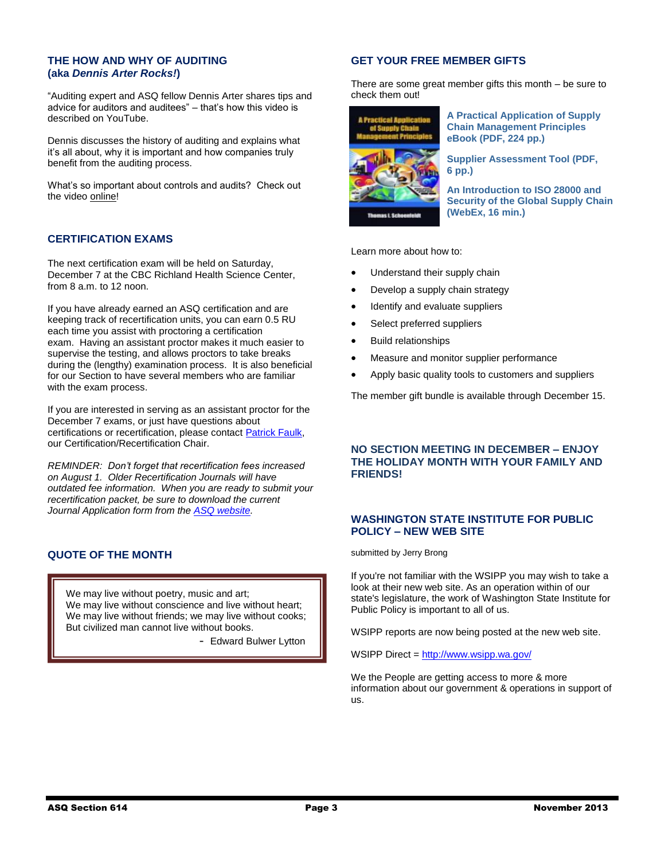#### **THE HOW AND WHY OF AUDITING (aka** *Dennis Arter Rocks!***)**

"Auditing expert and ASQ fellow Dennis Arter shares tips and advice for auditors and auditees" – that's how this video is described on YouTube.

Dennis discusses the history of auditing and explains what it's all about, why it is important and how companies truly benefit from the auditing process.

What's so important about controls and audits? Check out the video [online!](http://www.youtube.com/watch?v=mVOhfvEI4ho&feature=youtu.be)

#### **CERTIFICATION EXAMS**

The next certification exam will be held on Saturday, December 7 at the CBC Richland Health Science Center, from 8 a.m. to 12 noon.

If you have already earned an ASQ certification and are keeping track of recertification units, you can earn 0.5 RU each time you assist with proctoring a certification exam. Having an assistant proctor makes it much easier to supervise the testing, and allows proctors to take breaks during the (lengthy) examination process. It is also beneficial for our Section to have several members who are familiar with the exam process.

If you are interested in serving as an assistant proctor for the December 7 exams, or just have questions about certifications or recertification, please contact [Patrick Faulk,](mailto:prfaulk@bechtel.com) our Certification/Recertification Chair.

*REMINDER: Don't forget that recertification fees increased on August 1. Older Recertification Journals will have outdated fee information. When you are ready to submit your recertification packet, be sure to download the current Journal Application form from the [ASQ website.](http://cert.asq.org/certification/control/index)*

#### **QUOTE OF THE MONTH**

We may live without poetry, music and art: We may live without conscience and live without heart; We may live without friends; we may live without cooks; But civilized man cannot live without books.

- Edward Bulwer Lytton

#### **GET YOUR FREE MEMBER GIFTS**

There are some great member gifts this month – be sure to check them out!



**[A Practical Application of Supply](http://asq.org/members/pdf/e1329.pdf)  [Chain Management Principles](http://asq.org/members/pdf/e1329.pdf) [eBook \(PDF, 224](http://asq.org/members/pdf/e1329.pdf) pp.)**

**[Supplier Assessment Tool \(PDF,](http://asq.org/members/pdf/supplier-assess.pdf)  6 [pp.\)](http://asq.org/members/pdf/supplier-assess.pdf)** 

**[An Introduction to ISO 28000 and](https://asq.webex.com/asq/lsr.php?AT=pb&SP=EC&rID=4706437&rKey=d06ca79f91c51140)  [Security of the Global Supply Chain](https://asq.webex.com/asq/lsr.php?AT=pb&SP=EC&rID=4706437&rKey=d06ca79f91c51140)  [\(WebEx, 16](https://asq.webex.com/asq/lsr.php?AT=pb&SP=EC&rID=4706437&rKey=d06ca79f91c51140) min.)**

Learn more about how to:

- Understand their supply chain
- Develop a supply chain strategy
- Identify and evaluate suppliers
- Select preferred suppliers
- Build relationships
- Measure and monitor supplier performance
- Apply basic quality tools to customers and suppliers

The member gift bundle is available through December 15.

#### **NO SECTION MEETING IN DECEMBER – ENJOY THE HOLIDAY MONTH WITH YOUR FAMILY AND FRIENDS!**

#### **WASHINGTON STATE INSTITUTE FOR PUBLIC POLICY – NEW WEB SITE**

submitted by Jerry Brong

If you're not familiar with the WSIPP you may wish to take a look at their new web site. As an operation within of our state's legislature, the work of Washington State Institute for Public Policy is important to all of us.

WSIPP reports are now being posted at the new web site.

WSIPP Direct [= http://www.wsipp.wa.gov/](http://www.wsipp.wa.gov/)

We the People are getting access to more & more information about our government & operations in support of us.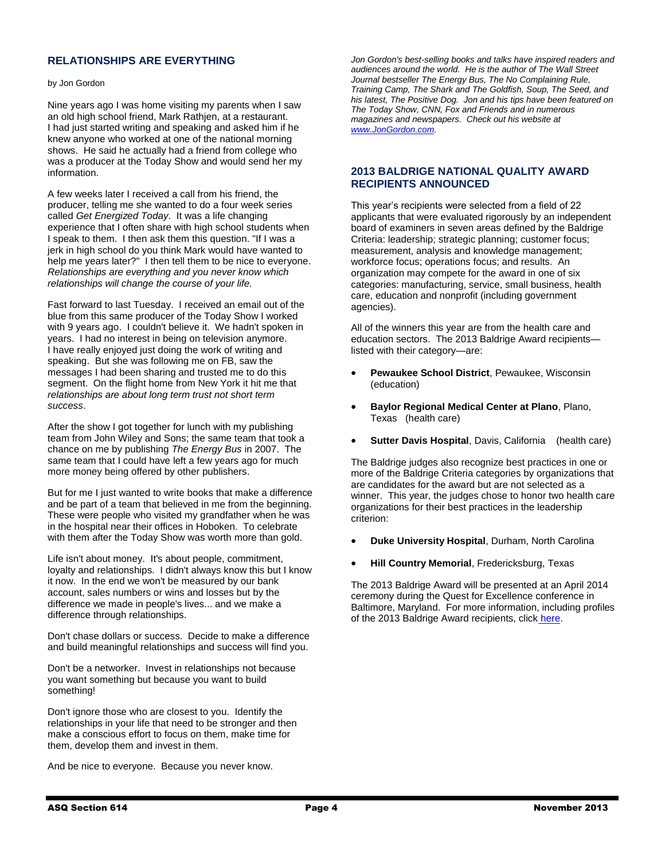#### **RELATIONSHIPS ARE EVERYTHING**

#### by Jon Gordon

Nine years ago I was home visiting my parents when I saw an old high school friend, Mark Rathjen, at a restaurant. I had just started writing and speaking and asked him if he knew anyone who worked at one of the national morning shows. He said he actually had a friend from college who was a producer at the Today Show and would send her my information.

A few weeks later I received a call from his friend, the producer, telling me she wanted to do a four week series called *Get Energized Today*. It was a life changing experience that I often share with high school students when I speak to them. I then ask them this question. "If I was a jerk in high school do you think Mark would have wanted to help me years later?" I then tell them to be nice to everyone. *Relationships are everything and you never know which relationships will change the course of your life.* 

Fast forward to last Tuesday. I received an email out of the blue from this same producer of the Today Show I worked with 9 years ago. I couldn't believe it. We hadn't spoken in years. I had no interest in being on television anymore. I have really enjoyed just doing the work of writing and speaking. But she was following me on FB, saw the messages I had been sharing and trusted me to do this segment. On the flight home from New York it hit me that *relationships are about long term trust not short term success*.

After the show I got together for lunch with my publishing team from John Wiley and Sons; the same team that took a chance on me by publishing *The Energy Bus* in 2007. The same team that I could have left a few years ago for much more money being offered by other publishers.

But for me I just wanted to write books that make a difference and be part of a team that believed in me from the beginning. These were people who visited my grandfather when he was in the hospital near their offices in Hoboken. To celebrate with them after the Today Show was worth more than gold.

Life isn't about money. It's about people, commitment, loyalty and relationships. I didn't always know this but I know it now. In the end we won't be measured by our bank account, sales numbers or wins and losses but by the difference we made in people's lives... and we make a difference through relationships.

Don't chase dollars or success. Decide to make a difference and build meaningful relationships and success will find you.

Don't be a networker. Invest in relationships not because you want something but because you want to build something!

Don't ignore those who are closest to you. Identify the relationships in your life that need to be stronger and then make a conscious effort to focus on them, make time for them, develop them and invest in them.

And be nice to everyone. Because you never know.

*Jon Gordon's best-selling books and talks have inspired readers and audiences around the world. He is the author of The Wall Street Journal bestseller The Energy Bus, The No Complaining Rule, Training Camp, The Shark and The Goldfish, Soup, The Seed, and his latest, The Positive Dog. Jon and his tips have been featured on The Today Show, CNN, Fox and Friends and in numerous magazines and newspapers. Check out his website at [www.JonGordon.com.](http://www.jongordon.com/)*

#### **2013 BALDRIGE NATIONAL QUALITY AWARD RECIPIENTS ANNOUNCED**

This year's recipients were selected from a field of 22 applicants that were evaluated rigorously by an independent board of examiners in seven areas defined by the Baldrige Criteria: leadership; strategic planning; customer focus; measurement, analysis and knowledge management; workforce focus; operations focus; and results. An organization may compete for the award in one of six categories: manufacturing, service, small business, health care, education and nonprofit (including government agencies).

All of the winners this year are from the health care and education sectors. The 2013 Baldrige Award recipients listed with their category—are:

- **Pewaukee School District**, Pewaukee, Wisconsin (education)
- **Baylor Regional Medical Center at Plano**, Plano, Texas (health care)
- **Sutter Davis Hospital**, Davis, California (health care)

The Baldrige judges also recognize best practices in one or more of the Baldrige Criteria categories by organizations that are candidates for the award but are not selected as a winner. This year, the judges chose to honor two health care organizations for their best practices in the leadership criterion:

- **Duke University Hospital**, Durham, North Carolina
- **Hill Country Memorial**, Fredericksburg, Texas

The 2013 Baldrige Award will be presented at an April 2014 ceremony during the Quest for Excellence conference in Baltimore, Maryland. For more information, including profiles of the 2013 Baldrige Award recipients, click [here.](http://www.nist.gov/baldrige)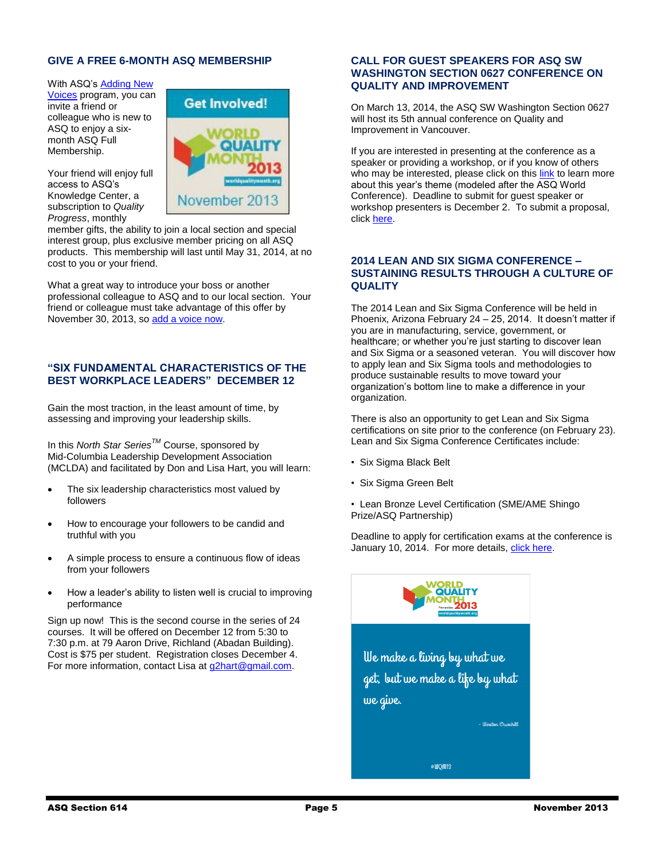#### **GIVE A FREE 6-MONTH ASQ MEMBERSHIP**

With ASQ's Adding New

[Voices](http://membership.asq.org/voices13?id=%25%25Customer_ID%25%25) program, you can invite a friend or colleague who is new to ASQ to enjoy a sixmonth ASQ Full Membership.

Your friend will enjoy full access to ASQ's Knowledge Center, a subscription to *Quality Progress*, monthly



member gifts, the ability to join a local section and special interest group, plus exclusive member pricing on all ASQ products. This membership will last until May 31, 2014, at no cost to you or your friend.

What a great way to introduce your boss or another professional colleague to ASQ and to our local section. Your friend or colleague must take advantage of this offer by November 30, 2013, so [add a voice now.](http://membership.asq.org/voices13?id=%25%25Customer_ID%25%25)

#### **"SIX FUNDAMENTAL CHARACTERISTICS OF THE BEST WORKPLACE LEADERS" DECEMBER 12**

Gain the most traction, in the least amount of time, by assessing and improving your leadership skills.

In this *North Star SeriesTM* Course, sponsored by Mid-Columbia Leadership Development Association (MCLDA) and facilitated by Don and Lisa Hart, you will learn:

- The six leadership characteristics most valued by followers
- How to encourage your followers to be candid and truthful with you
- A simple process to ensure a continuous flow of ideas from your followers
- How a leader's ability to listen well is crucial to improving performance

Sign up now! This is the second course in the series of 24 courses. It will be offered on December 12 from 5:30 to 7:30 p.m. at 79 Aaron Drive, Richland (Abadan Building). Cost is \$75 per student. Registration closes December 4. For more information, contact Lisa at [g2hart@gmail.com.](mailto:g2hart@gmail.com)

#### **CALL FOR GUEST SPEAKERS FOR ASQ SW WASHINGTON SECTION 0627 CONFERENCE ON QUALITY AND IMPROVEMENT**

On March 13, 2014, the ASQ SW Washington Section 0627 will host its 5th annual conference on Quality and Improvement in Vancouver.

If you are interested in presenting at the conference as a speaker or providing a workshop, or if you know of others who may be interested, please click on this [link](http://wcqi.asq.org/theme-focus-areas.html) to learn more about this year's theme (modeled after the ASQ World Conference). Deadline to submit for guest speaker or workshop presenters is December 2. To submit a proposal, click [here.](http://www.asqswwa.com/conference/conference-proposals/)

#### **2014 LEAN AND SIX SIGMA CONFERENCE – SUSTAINING RESULTS THROUGH A CULTURE OF QUALITY**

The 2014 Lean and Six Sigma Conference will be held in Phoenix, Arizona February 24 – 25, 2014. It doesn't matter if you are in manufacturing, service, government, or healthcare; or whether you're just starting to discover lean and Six Sigma or a seasoned veteran. You will discover how to apply lean and Six Sigma tools and methodologies to produce sustainable results to move toward your organization's bottom line to make a difference in your organization.

There is also an opportunity to get Lean and Six Sigma certifications on site prior to the conference (on February 23). Lean and Six Sigma Conference Certificates include:

- Six Sigma Black Belt
- Six Sigma Green Belt
- Lean Bronze Level Certification (SME/AME Shingo Prize/ASQ Partnership)

Deadline to apply for certification exams at the conference is January 10, 2014. For more details, [click here.](http://asq.org/conferences/six-sigma/index.html?WT.dcsvid=NTYwOTU0NTc3OTYS1&WT.mc_id=EM1110645)